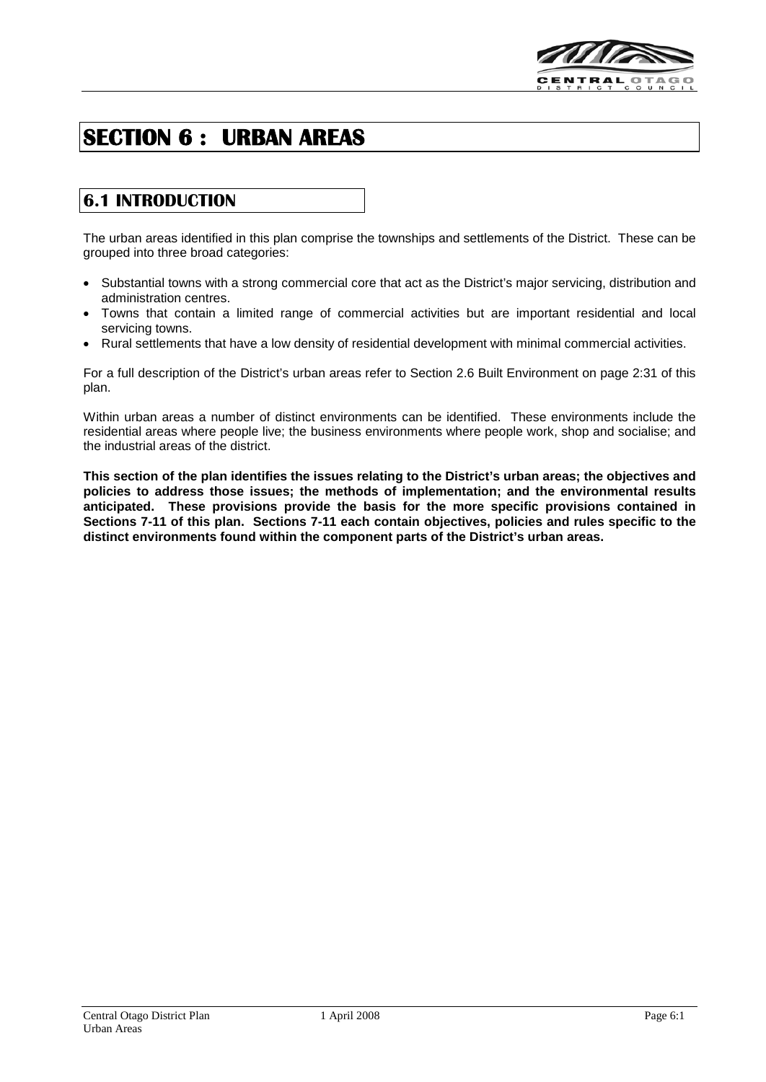

# **SECTION 6 : URBAN AREAS**

# **6.1 INTRODUCTION**

The urban areas identified in this plan comprise the townships and settlements of the District. These can be grouped into three broad categories:

- Substantial towns with a strong commercial core that act as the District's major servicing, distribution and administration centres.
- Towns that contain a limited range of commercial activities but are important residential and local servicing towns.
- Rural settlements that have a low density of residential development with minimal commercial activities.

For a full description of the District's urban areas refer to Section 2.6 Built Environment on page 2:31 of this plan.

Within urban areas a number of distinct environments can be identified. These environments include the residential areas where people live; the business environments where people work, shop and socialise; and the industrial areas of the district.

**This section of the plan identifies the issues relating to the District's urban areas; the objectives and policies to address those issues; the methods of implementation; and the environmental results anticipated. These provisions provide the basis for the more specific provisions contained in Sections 7-11 of this plan. Sections 7-11 each contain objectives, policies and rules specific to the distinct environments found within the component parts of the District's urban areas.**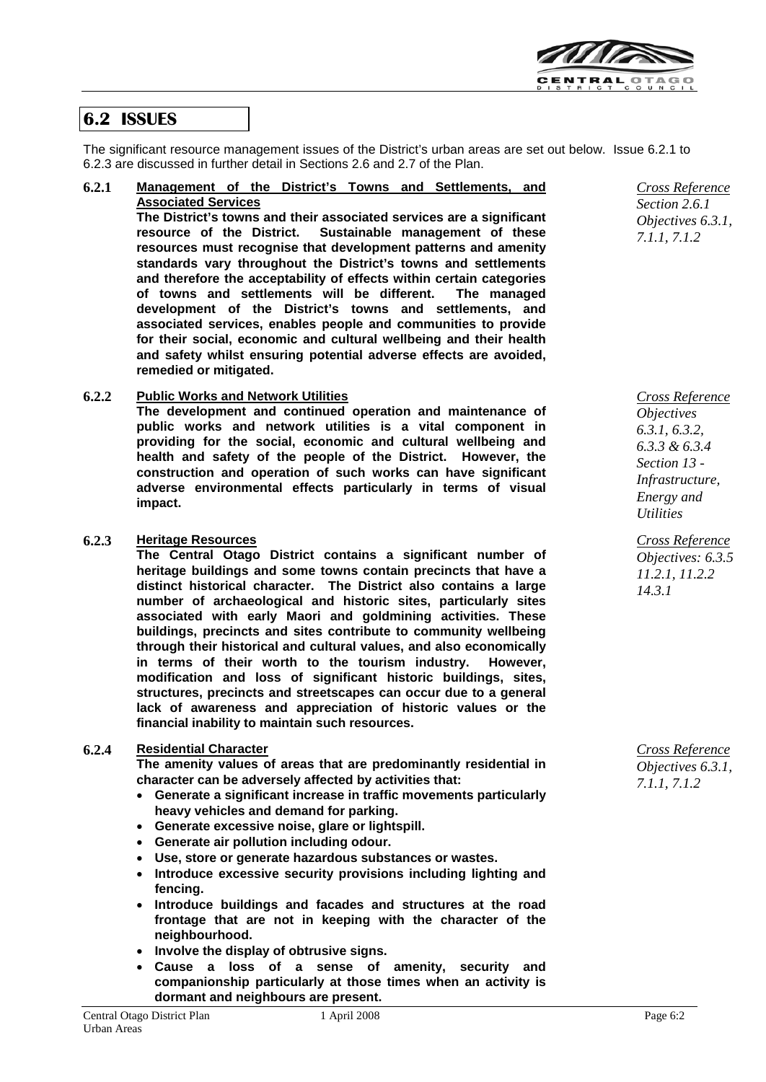

# **6.2 ISSUES**

The significant resource management issues of the District's urban areas are set out below. Issue 6.2.1 to 6.2.3 are discussed in further detail in Sections 2.6 and 2.7 of the Plan.

**6.2.1 Management of the District's Towns and Settlements, and Associated Services The District's towns and their associated services are a significant** 

**Sustainable management of these resources must recognise that development patterns and amenity standards vary throughout the District's towns and settlements and therefore the acceptability of effects within certain categories**  of towns and settlements will be different. **development of the District's towns and settlements, and associated services, enables people and communities to provide for their social, economic and cultural wellbeing and their health and safety whilst ensuring potential adverse effects are avoided, remedied or mitigated.**

### **6.2.2 Public Works and Network Utilities**

**The development and continued operation and maintenance of public works and network utilities is a vital component in providing for the social, economic and cultural wellbeing and health and safety of the people of the District. However, the construction and operation of such works can have significant adverse environmental effects particularly in terms of visual impact.**

### **6.2.3 Heritage Resources**

**The Central Otago District contains a significant number of heritage buildings and some towns contain precincts that have a distinct historical character. The District also contains a large number of archaeological and historic sites, particularly sites associated with early Maori and goldmining activities. These buildings, precincts and sites contribute to community wellbeing through their historical and cultural values, and also economically in terms of their worth to the tourism industry. However, modification and loss of significant historic buildings, sites, structures, precincts and streetscapes can occur due to a general lack of awareness and appreciation of historic values or the financial inability to maintain such resources.**

### **6.2.4 Residential Character**

**The amenity values of areas that are predominantly residential in character can be adversely affected by activities that:**

- **Generate a significant increase in traffic movements particularly heavy vehicles and demand for parking.**
- **Generate excessive noise, glare or lightspill.**
- **Generate air pollution including odour.**
- **Use, store or generate hazardous substances or wastes.**
- **Introduce excessive security provisions including lighting and fencing.**
- **Introduce buildings and facades and structures at the road frontage that are not in keeping with the character of the neighbourhood.**
- **Involve the display of obtrusive signs.**
- **Cause a loss of a sense of amenity, security and companionship particularly at those times when an activity is dormant and neighbours are present.**

*Cross Reference Section 2.6.1 Objectives 6.3.1, 7.1.1, 7.1.2*

*Cross Reference Objectives 6.3.1, 6.3.2, 6.3.3 & 6.3.4 Section 13 - Infrastructure, Energy and Utilities*

*Cross Reference Objectives: 6.3.5 11.2.1, 11.2.2 14.3.1*

*Cross Reference Objectives 6.3.1, 7.1.1, 7.1.2*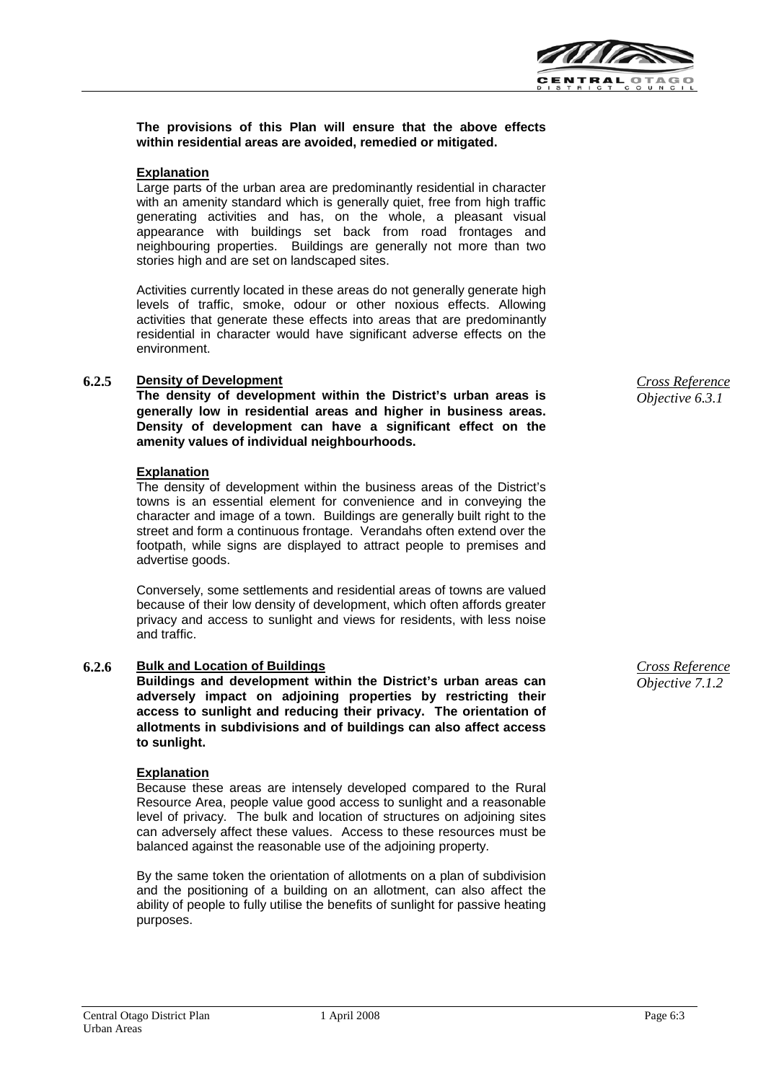

### **The provisions of this Plan will ensure that the above effects within residential areas are avoided, remedied or mitigated.**

#### **Explanation**

Large parts of the urban area are predominantly residential in character with an amenity standard which is generally quiet, free from high traffic generating activities and has, on the whole, a pleasant visual appearance with buildings set back from road frontages and neighbouring properties. Buildings are generally not more than two stories high and are set on landscaped sites.

Activities currently located in these areas do not generally generate high levels of traffic, smoke, odour or other noxious effects. Allowing activities that generate these effects into areas that are predominantly residential in character would have significant adverse effects on the environment.

#### **6.2.5 Density of Development**

**The density of development within the District's urban areas is generally low in residential areas and higher in business areas. Density of development can have a significant effect on the amenity values of individual neighbourhoods.** 

#### **Explanation**

The density of development within the business areas of the District's towns is an essential element for convenience and in conveying the character and image of a town. Buildings are generally built right to the street and form a continuous frontage. Verandahs often extend over the footpath, while signs are displayed to attract people to premises and advertise goods.

Conversely, some settlements and residential areas of towns are valued because of their low density of development, which often affords greater privacy and access to sunlight and views for residents, with less noise and traffic.

#### **6.2.6 Bulk and Location of Buildings**

**Buildings and development within the District's urban areas can adversely impact on adjoining properties by restricting their access to sunlight and reducing their privacy. The orientation of allotments in subdivisions and of buildings can also affect access to sunlight.**

#### **Explanation**

Because these areas are intensely developed compared to the Rural Resource Area, people value good access to sunlight and a reasonable level of privacy. The bulk and location of structures on adjoining sites can adversely affect these values. Access to these resources must be balanced against the reasonable use of the adjoining property.

By the same token the orientation of allotments on a plan of subdivision and the positioning of a building on an allotment, can also affect the ability of people to fully utilise the benefits of sunlight for passive heating purposes.

*Cross Reference Objective 6.3.1* 

*Cross Reference Objective 7.1.2*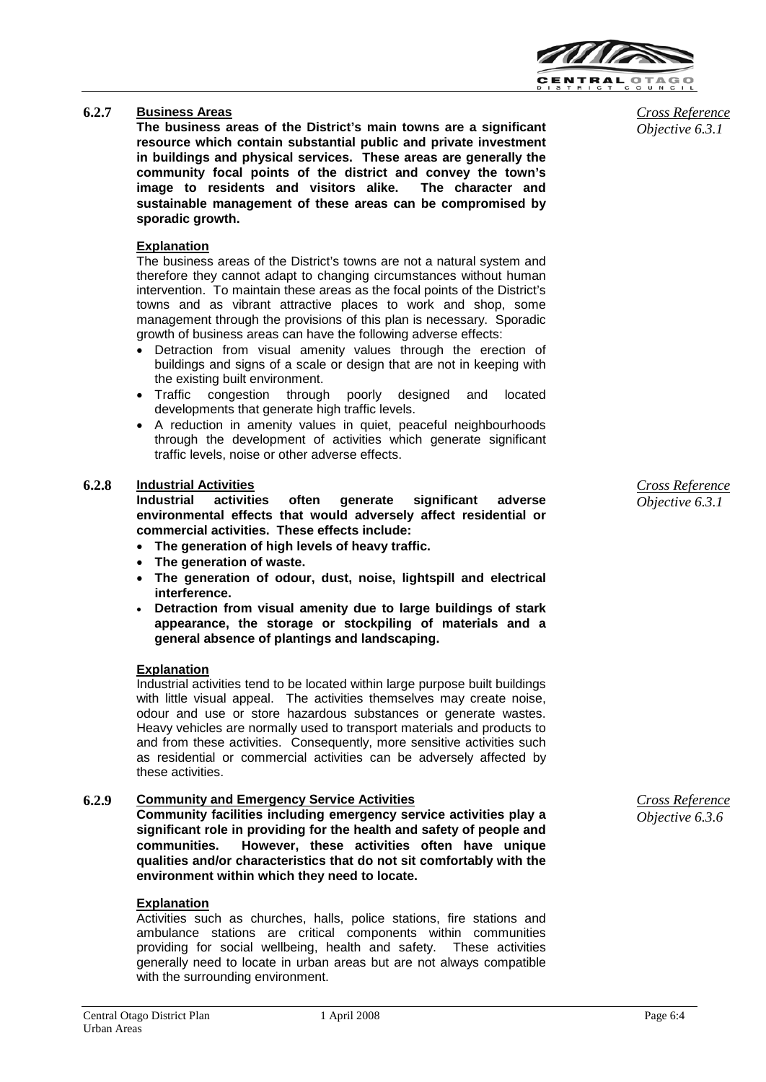

### **6.2.7 Business Areas**

**The business areas of the District's main towns are a significant resource which contain substantial public and private investment in buildings and physical services. These areas are generally the community focal points of the district and convey the town's image to residents and visitors alike. The character and sustainable management of these areas can be compromised by sporadic growth.**

## **Explanation**

The business areas of the District's towns are not a natural system and therefore they cannot adapt to changing circumstances without human intervention. To maintain these areas as the focal points of the District's towns and as vibrant attractive places to work and shop, some management through the provisions of this plan is necessary. Sporadic growth of business areas can have the following adverse effects:

- Detraction from visual amenity values through the erection of buildings and signs of a scale or design that are not in keeping with the existing built environment.
- Traffic congestion through poorly designed and located developments that generate high traffic levels.
- A reduction in amenity values in quiet, peaceful neighbourhoods through the development of activities which generate significant traffic levels, noise or other adverse effects.

# **6.2.8 Industrial Activities**

**Industrial activities often generate significant adverse environmental effects that would adversely affect residential or commercial activities. These effects include:**

- **The generation of high levels of heavy traffic.**
- **The generation of waste.**
- **The generation of odour, dust, noise, lightspill and electrical interference.**
- **Detraction from visual amenity due to large buildings of stark appearance, the storage or stockpiling of materials and a general absence of plantings and landscaping.**

### **Explanation**

Industrial activities tend to be located within large purpose built buildings with little visual appeal. The activities themselves may create noise, odour and use or store hazardous substances or generate wastes. Heavy vehicles are normally used to transport materials and products to and from these activities. Consequently, more sensitive activities such as residential or commercial activities can be adversely affected by these activities.

### **6.2.9 Community and Emergency Service Activities**

**Community facilities including emergency service activities play a significant role in providing for the health and safety of people and communities. However, these activities often have unique qualities and/or characteristics that do not sit comfortably with the environment within which they need to locate.**

#### **Explanation**

Activities such as churches, halls, police stations, fire stations and ambulance stations are critical components within communities providing for social wellbeing, health and safety. These activities generally need to locate in urban areas but are not always compatible with the surrounding environment.

*Cross Reference Objective 6.3.1*

*Cross Reference Objective 6.3.6*

*Cross Reference Objective 6.3.1*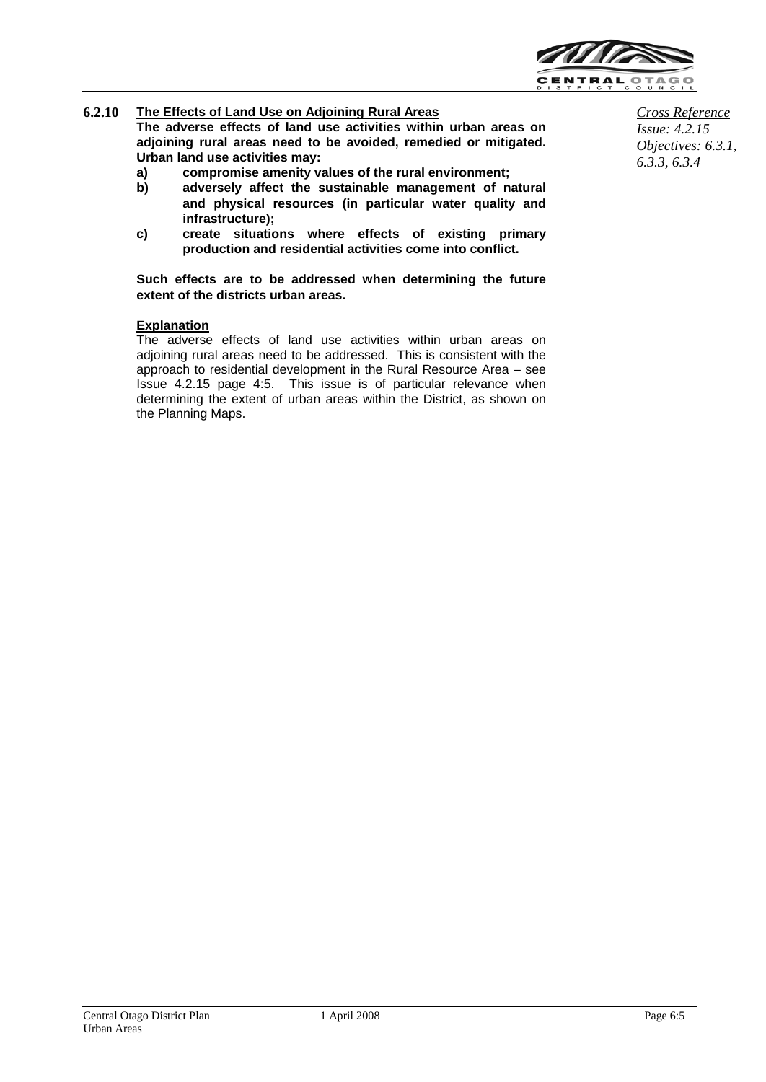

## **6.2.10 The Effects of Land Use on Adjoining Rural Areas**

**The adverse effects of land use activities within urban areas on adjoining rural areas need to be avoided, remedied or mitigated. Urban land use activities may:**

- **a) compromise amenity values of the rural environment;**
- **b) adversely affect the sustainable management of natural and physical resources (in particular water quality and infrastructure);**
- **c) create situations where effects of existing primary production and residential activities come into conflict.**

**Such effects are to be addressed when determining the future extent of the districts urban areas.**

### **Explanation**

The adverse effects of land use activities within urban areas on adjoining rural areas need to be addressed. This is consistent with the approach to residential development in the Rural Resource Area – see Issue 4.2.15 page 4:5. This issue is of particular relevance when determining the extent of urban areas within the District, as shown on the Planning Maps.

*Cross Reference Issue: 4.2.15 Objectives: 6.3.1, 6.3.3, 6.3.4*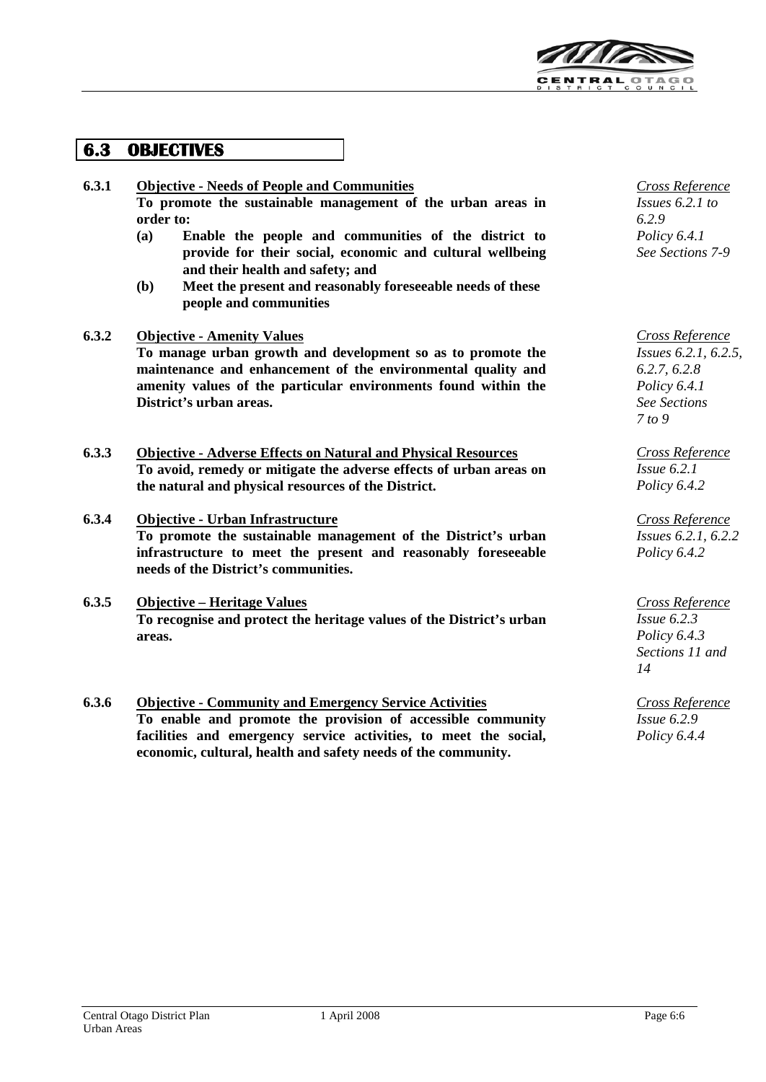

# **6.3 OBJECTIVES**

### **6.3.1 Objective - Needs of People and Communities To promote the sustainable management of the urban areas in order to:**

- **(a) Enable the people and communities of the district to provide for their social, economic and cultural wellbeing and their health and safety; and**
- **(b) Meet the present and reasonably foreseeable needs of these people and communities**

### **6.3.2 Objective - Amenity Values**

**To manage urban growth and development so as to promote the maintenance and enhancement of the environmental quality and amenity values of the particular environments found within the District's urban areas.**

**6.3.3 Objective - Adverse Effects on Natural and Physical Resources To avoid, remedy or mitigate the adverse effects of urban areas on the natural and physical resources of the District.**

### **6.3.4 Objective - Urban Infrastructure To promote the sustainable management of the District's urban infrastructure to meet the present and reasonably foreseeable needs of the District's communities.**

- **6.3.5 Objective – Heritage Values To recognise and protect the heritage values of the District's urban areas.**
- **6.3.6 Objective - Community and Emergency Service Activities To enable and promote the provision of accessible community facilities and emergency service activities, to meet the social, economic, cultural, health and safety needs of the community.**

*Cross Reference Issues 6.2.1 to 6.2.9 Policy 6.4.1 See Sections 7-9*

*Cross Reference Issues 6.2.1, 6.2.5, 6.2.7, 6.2.8 Policy 6.4.1 See Sections 7 to 9*

*Cross Reference Issue 6.2.1 Policy 6.4.2*

*Cross Reference Issues 6.2.1, 6.2.2 Policy 6.4.2*

*Cross Reference Issue 6.2.3 Policy 6.4.3 Sections 11 and 14*

*Cross Reference Issue 6.2.9 Policy 6.4.4*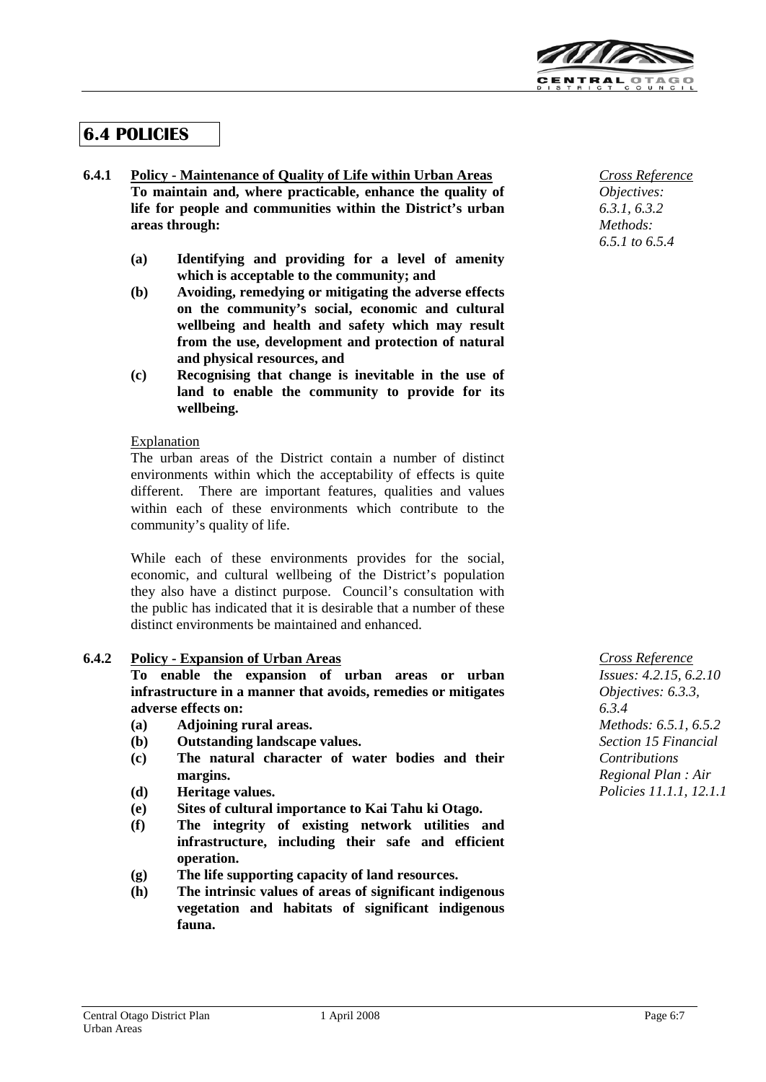

# **6.4 POLICIES**

### **6.4.1 Policy - Maintenance of Quality of Life within Urban Areas To maintain and, where practicable, enhance the quality of life for people and communities within the District's urban areas through:**

- **(a) Identifying and providing for a level of amenity which is acceptable to the community; and**
- **(b) Avoiding, remedying or mitigating the adverse effects on the community's social, economic and cultural wellbeing and health and safety which may result from the use, development and protection of natural and physical resources, and**
- **(c) Recognising that change is inevitable in the use of land to enable the community to provide for its wellbeing.**

### Explanation

The urban areas of the District contain a number of distinct environments within which the acceptability of effects is quite different. There are important features, qualities and values within each of these environments which contribute to the community's quality of life.

While each of these environments provides for the social, economic, and cultural wellbeing of the District's population they also have a distinct purpose. Council's consultation with the public has indicated that it is desirable that a number of these distinct environments be maintained and enhanced.

### **6.4.2 Policy - Expansion of Urban Areas**

**To enable the expansion of urban areas or urban infrastructure in a manner that avoids, remedies or mitigates adverse effects on:**

- **(a) Adjoining rural areas.**
- **(b) Outstanding landscape values.**
- **(c) The natural character of water bodies and their margins.**
- **(d) Heritage values.**
- **(e) Sites of cultural importance to Kai Tahu ki Otago.**
- **(f) The integrity of existing network utilities and infrastructure, including their safe and efficient operation.**
- **(g) The life supporting capacity of land resources.**
- **(h) The intrinsic values of areas of significant indigenous vegetation and habitats of significant indigenous fauna.**

*Cross Reference Objectives: 6.3.1, 6.3.2 Methods: 6.5.1 to 6.5.4*

*Cross Reference Issues: 4.2.15, 6.2.10 Objectives: 6.3.3, 6.3.4 Methods: 6.5.1, 6.5.2 Section 15 Financial Contributions Regional Plan : Air Policies 11.1.1, 12.1.1*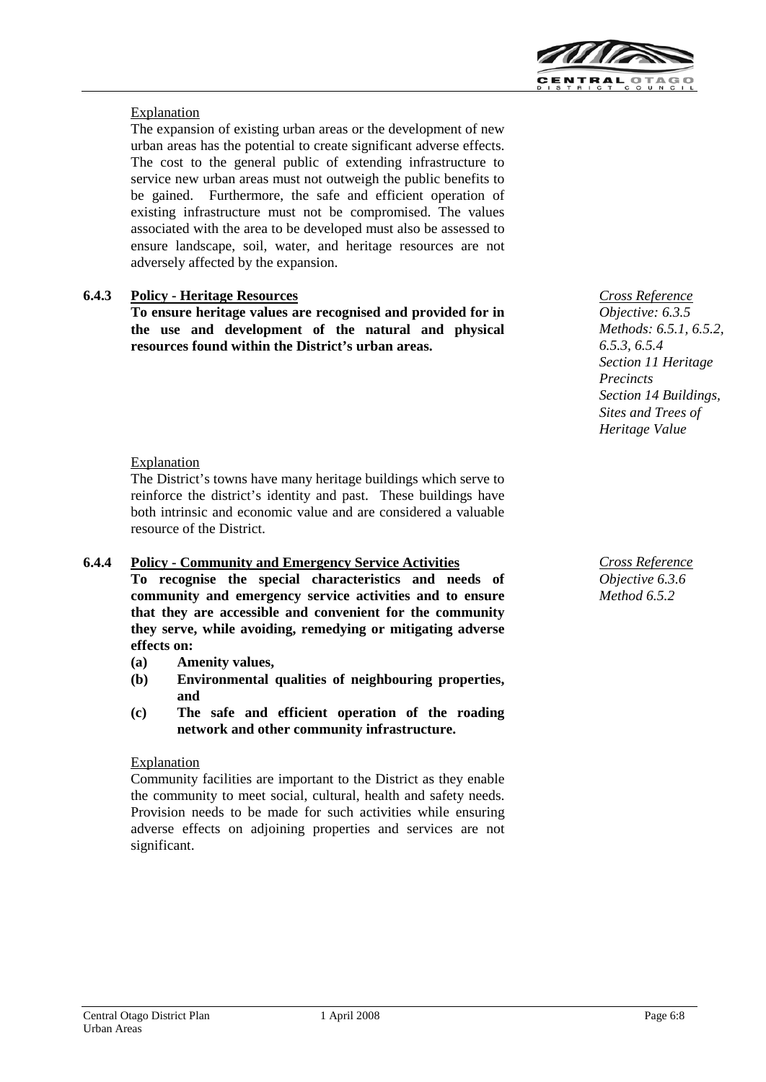

### Explanation

The expansion of existing urban areas or the development of new urban areas has the potential to create significant adverse effects. The cost to the general public of extending infrastructure to service new urban areas must not outweigh the public benefits to be gained. Furthermore, the safe and efficient operation of existing infrastructure must not be compromised. The values associated with the area to be developed must also be assessed to ensure landscape, soil, water, and heritage resources are not adversely affected by the expansion.

### **6.4.3 Policy - Heritage Resources**

**To ensure heritage values are recognised and provided for in the use and development of the natural and physical resources found within the District's urban areas.**

Explanation

The District's towns have many heritage buildings which serve to reinforce the district's identity and past. These buildings have both intrinsic and economic value and are considered a valuable resource of the District.

### **6.4.4 Policy - Community and Emergency Service Activities**

**To recognise the special characteristics and needs of community and emergency service activities and to ensure that they are accessible and convenient for the community they serve, while avoiding, remedying or mitigating adverse effects on:**

- **(a) Amenity values,**
- **(b) Environmental qualities of neighbouring properties, and**
- **(c) The safe and efficient operation of the roading network and other community infrastructure.**

### **Explanation**

Community facilities are important to the District as they enable the community to meet social, cultural, health and safety needs. Provision needs to be made for such activities while ensuring adverse effects on adjoining properties and services are not significant.

*Cross Reference Objective: 6.3.5 Methods: 6.5.1, 6.5.2, 6.5.3, 6.5.4 Section 11 Heritage Precincts Section 14 Buildings, Sites and Trees of Heritage Value*

*Cross Reference Objective 6.3.6 Method 6.5.2*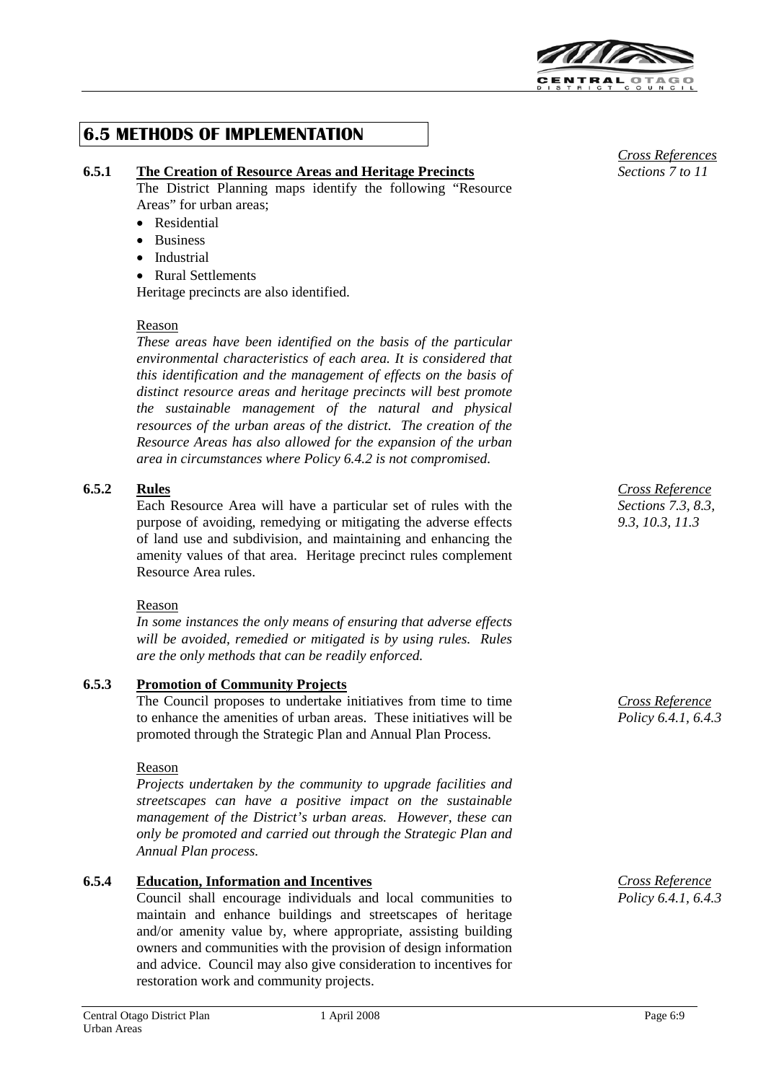

# **6.5 METHODS OF IMPLEMENTATION**

### **6.5.1 The Creation of Resource Areas and Heritage Precincts**

The District Planning maps identify the following "Resource Areas" for urban areas;

- Residential
- Business
- Industrial
- Rural Settlements

Heritage precincts are also identified.

### Reason

*These areas have been identified on the basis of the particular environmental characteristics of each area. It is considered that this identification and the management of effects on the basis of distinct resource areas and heritage precincts will best promote the sustainable management of the natural and physical resources of the urban areas of the district. The creation of the Resource Areas has also allowed for the expansion of the urban area in circumstances where Policy 6.4.2 is not compromised.*

### **6.5.2 Rules**

Each Resource Area will have a particular set of rules with the purpose of avoiding, remedying or mitigating the adverse effects of land use and subdivision, and maintaining and enhancing the amenity values of that area. Heritage precinct rules complement Resource Area rules.

### Reason

*In some instances the only means of ensuring that adverse effects will be avoided, remedied or mitigated is by using rules. Rules are the only methods that can be readily enforced.*

### **6.5.3 Promotion of Community Projects**

The Council proposes to undertake initiatives from time to time to enhance the amenities of urban areas. These initiatives will be promoted through the Strategic Plan and Annual Plan Process.

### Reason

*Projects undertaken by the community to upgrade facilities and streetscapes can have a positive impact on the sustainable management of the District's urban areas. However, these can only be promoted and carried out through the Strategic Plan and Annual Plan process.*

## **6.5.4 Education, Information and Incentives**

Council shall encourage individuals and local communities to maintain and enhance buildings and streetscapes of heritage and/or amenity value by, where appropriate, assisting building owners and communities with the provision of design information and advice. Council may also give consideration to incentives for restoration work and community projects.



*Cross Reference Sections 7.3, 8.3, 9.3, 10.3, 11.3*

*Cross Reference Policy 6.4.1, 6.4.3*

*Cross Reference Policy 6.4.1, 6.4.3*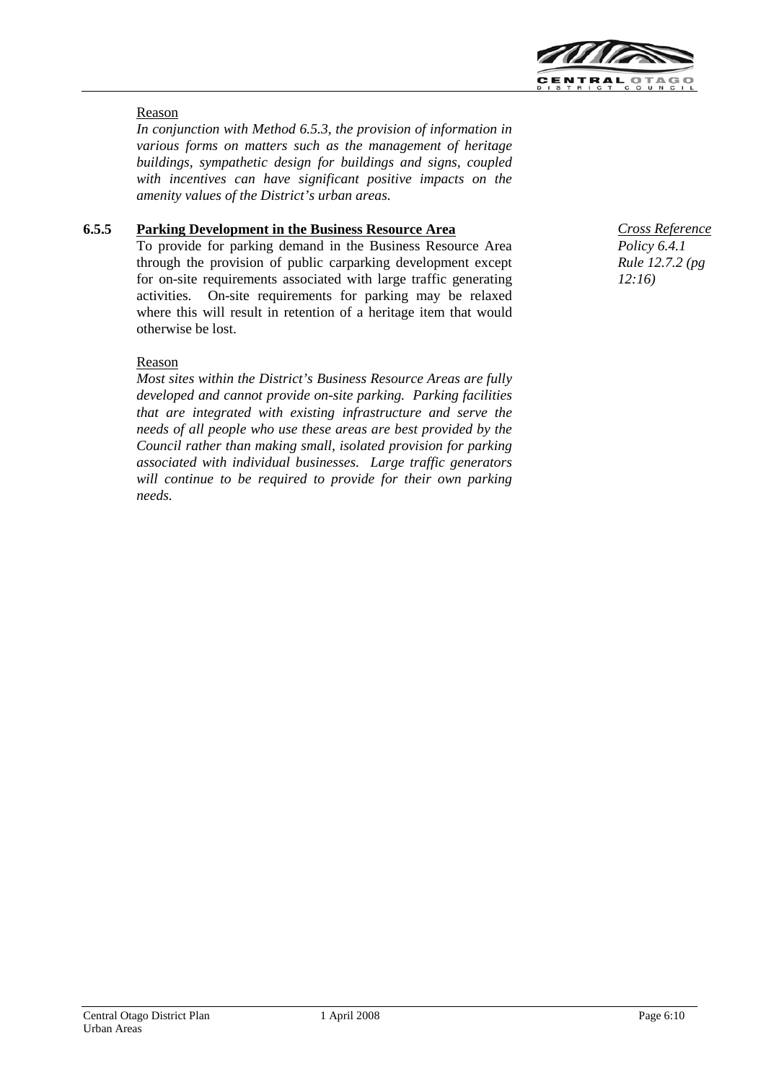

### Reason

*In conjunction with Method 6.5.3, the provision of information in various forms on matters such as the management of heritage buildings, sympathetic design for buildings and signs, coupled with incentives can have significant positive impacts on the amenity values of the District's urban areas.*

### **6.5.5 Parking Development in the Business Resource Area**

To provide for parking demand in the Business Resource Area through the provision of public carparking development except for on-site requirements associated with large traffic generating activities. On-site requirements for parking may be relaxed where this will result in retention of a heritage item that would otherwise be lost.

### Reason

*Most sites within the District's Business Resource Areas are fully developed and cannot provide on-site parking. Parking facilities that are integrated with existing infrastructure and serve the needs of all people who use these areas are best provided by the Council rather than making small, isolated provision for parking associated with individual businesses. Large traffic generators will continue to be required to provide for their own parking needs.*

*Cross Reference Policy 6.4.1 Rule 12.7.2 (pg 12:16)*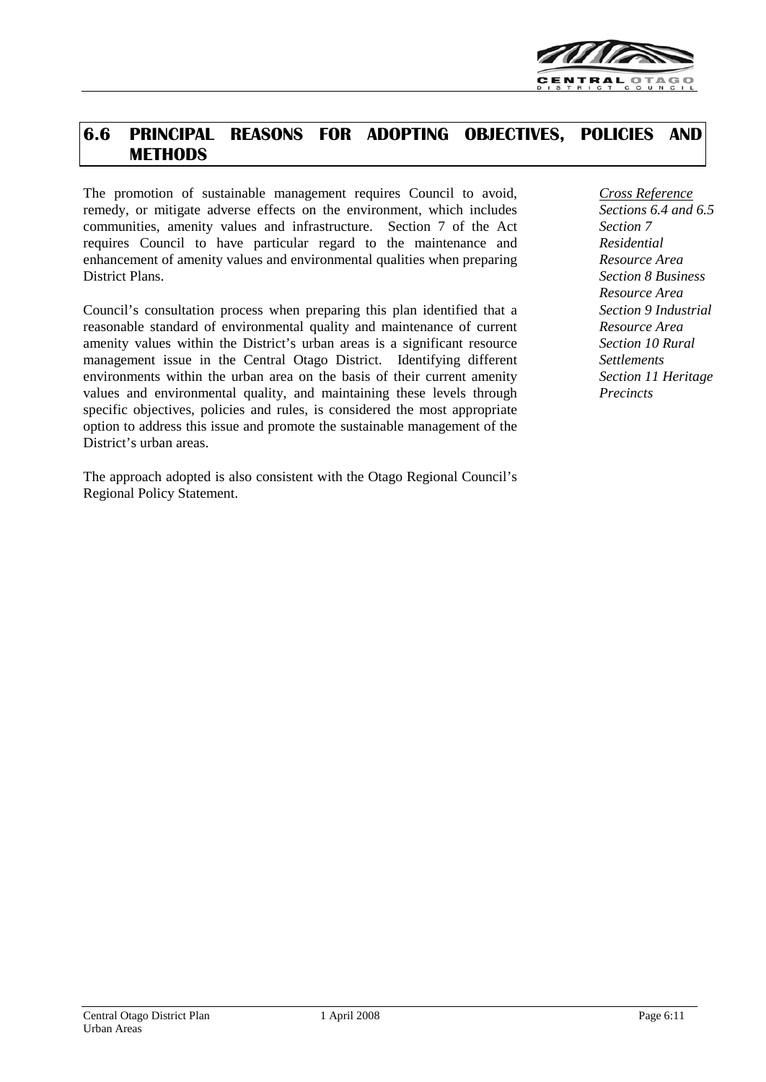

# **6.6 PRINCIPAL REASONS FOR ADOPTING OBJECTIVES, POLICIES AND METHODS**

The promotion of sustainable management requires Council to avoid, remedy, or mitigate adverse effects on the environment, which includes communities, amenity values and infrastructure. Section 7 of the Act requires Council to have particular regard to the maintenance and enhancement of amenity values and environmental qualities when preparing District Plans.

Council's consultation process when preparing this plan identified that a reasonable standard of environmental quality and maintenance of current amenity values within the District's urban areas is a significant resource management issue in the Central Otago District. Identifying different environments within the urban area on the basis of their current amenity values and environmental quality, and maintaining these levels through specific objectives, policies and rules, is considered the most appropriate option to address this issue and promote the sustainable management of the District's urban areas.

The approach adopted is also consistent with the Otago Regional Council's Regional Policy Statement.

*Cross Reference Sections 6.4 and 6.5 Section 7 Residential Resource Area Section 8 Business Resource Area Section 9 Industrial Resource Area Section 10 Rural Settlements Section 11 Heritage Precincts*